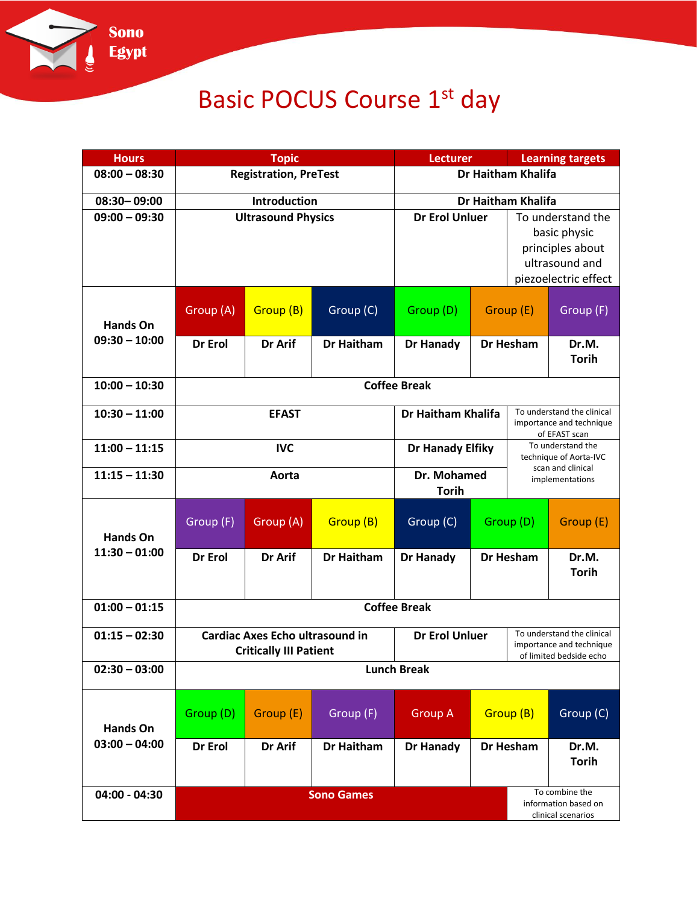

## Basic POCUS Course 1<sup>st</sup> day

| <b>Hours</b>                       | <b>Topic</b>                                                            |           | <b>Lecturer</b>       |                             | <b>Learning targets</b>                                                 |                                                                                   |                                                              |
|------------------------------------|-------------------------------------------------------------------------|-----------|-----------------------|-----------------------------|-------------------------------------------------------------------------|-----------------------------------------------------------------------------------|--------------------------------------------------------------|
| $08:00 - 08:30$                    | <b>Registration, PreTest</b>                                            |           |                       | Dr Haitham Khalifa          |                                                                         |                                                                                   |                                                              |
| 08:30-09:00                        | Introduction                                                            |           |                       | Dr Haitham Khalifa          |                                                                         |                                                                                   |                                                              |
| $09:00 - 09:30$                    | <b>Ultrasound Physics</b>                                               |           |                       | <b>Dr Erol Unluer</b>       |                                                                         | To understand the<br>basic physic<br>principles about<br>ultrasound and           |                                                              |
|                                    |                                                                         |           |                       |                             | piezoelectric effect                                                    |                                                                                   |                                                              |
| <b>Hands On</b><br>$09:30 - 10:00$ | Group (A)                                                               | Group (B) | Group (C)             | Group (D)                   | Group (E)                                                               |                                                                                   | Group (F)                                                    |
|                                    | Dr Erol                                                                 | Dr Arif   | <b>Dr Haitham</b>     | <b>Dr Hanady</b>            | <b>Dr Hesham</b>                                                        |                                                                                   | Dr.M.<br><b>Torih</b>                                        |
| $10:00 - 10:30$                    | <b>Coffee Break</b>                                                     |           |                       |                             |                                                                         |                                                                                   |                                                              |
| $10:30 - 11:00$                    | <b>EFAST</b>                                                            |           | Dr Haitham Khalifa    |                             | To understand the clinical<br>importance and technique<br>of EFAST scan |                                                                                   |                                                              |
| $11:00 - 11:15$                    | <b>IVC</b>                                                              |           |                       | <b>Dr Hanady Elfiky</b>     |                                                                         | To understand the<br>technique of Aorta-IVC                                       |                                                              |
| $11:15 - 11:30$                    | Aorta                                                                   |           |                       | Dr. Mohamed<br><b>Torih</b> |                                                                         |                                                                                   | scan and clinical<br>implementations                         |
| <b>Hands On</b><br>$11:30 - 01:00$ | Group (F)                                                               | Group (A) | Group (B)             | Group (C)                   | Group (D)                                                               |                                                                                   | Group (E)                                                    |
|                                    | Dr Erol                                                                 | Dr Arif   | <b>Dr Haitham</b>     | <b>Dr Hanady</b>            | <b>Dr Hesham</b>                                                        |                                                                                   | Dr.M.<br><b>Torih</b>                                        |
| $01:00 - 01:15$                    | <b>Coffee Break</b>                                                     |           |                       |                             |                                                                         |                                                                                   |                                                              |
| $01:15 - 02:30$                    | <b>Cardiac Axes Echo ultrasound in</b><br><b>Critically III Patient</b> |           | <b>Dr Erol Unluer</b> |                             |                                                                         | To understand the clinical<br>importance and technique<br>of limited bedside echo |                                                              |
| $02:30 - 03:00$                    | <b>Lunch Break</b>                                                      |           |                       |                             |                                                                         |                                                                                   |                                                              |
| <b>Hands On</b>                    | Group (D)                                                               | Group (E) | Group (F)             | <b>Group A</b>              | Group (B)                                                               |                                                                                   | Group (C)                                                    |
| $03:00 - 04:00$                    | Dr Erol                                                                 | Dr Arif   | <b>Dr Haitham</b>     | <b>Dr Hanady</b>            | Dr Hesham                                                               |                                                                                   | Dr.M.<br><b>Torih</b>                                        |
| $04:00 - 04:30$                    |                                                                         |           | <b>Sono Games</b>     |                             |                                                                         |                                                                                   | To combine the<br>information based on<br>clinical scenarios |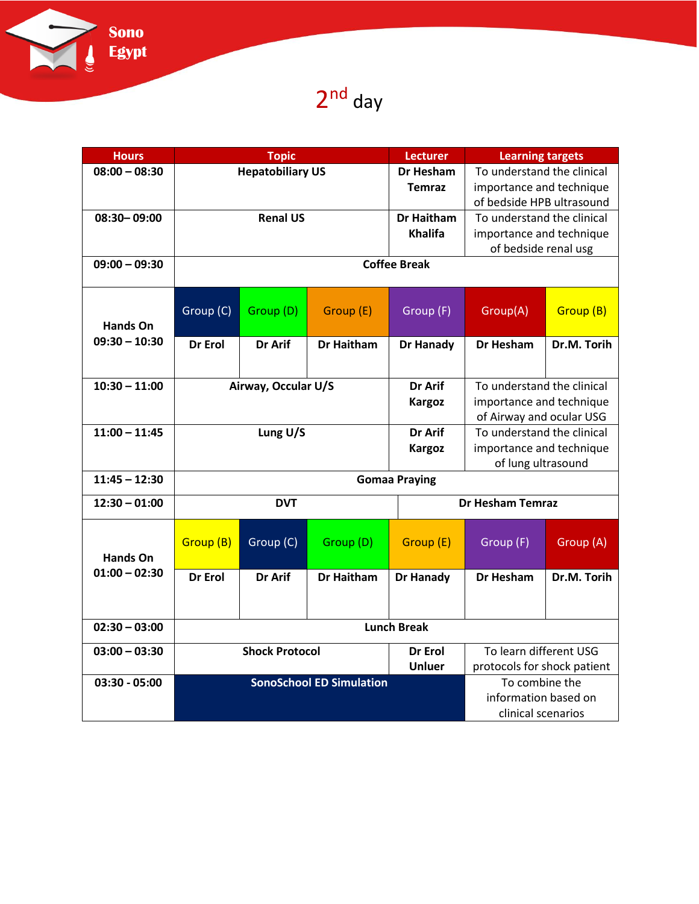

2<sup>nd</sup> day

| <b>Hours</b>    | <b>Topic</b>                    |            |                   | <b>Lecturer</b>         | <b>Learning targets</b>     |             |  |
|-----------------|---------------------------------|------------|-------------------|-------------------------|-----------------------------|-------------|--|
| $08:00 - 08:30$ | <b>Hepatobiliary US</b>         |            |                   | <b>Dr Hesham</b>        | To understand the clinical  |             |  |
|                 | <b>Temraz</b>                   |            |                   |                         | importance and technique    |             |  |
|                 |                                 |            |                   |                         | of bedside HPB ultrasound   |             |  |
| 08:30-09:00     | <b>Renal US</b>                 |            |                   | <b>Dr Haitham</b>       | To understand the clinical  |             |  |
|                 |                                 |            |                   | <b>Khalifa</b>          | importance and technique    |             |  |
|                 |                                 |            |                   |                         | of bedside renal usg        |             |  |
| $09:00 - 09:30$ | <b>Coffee Break</b>             |            |                   |                         |                             |             |  |
| <b>Hands On</b> | Group (C)                       | Group (D)  | Group (E)         | Group (F)               | Group(A)                    | Group (B)   |  |
| $09:30 - 10:30$ | Dr Erol                         | Dr Arif    | <b>Dr Haitham</b> | <b>Dr Hanady</b>        | Dr Hesham                   | Dr.M. Torih |  |
|                 |                                 |            |                   |                         |                             |             |  |
| $10:30 - 11:00$ | Airway, Occular U/S             |            |                   | Dr Arif                 | To understand the clinical  |             |  |
|                 | <b>Kargoz</b>                   |            |                   |                         | importance and technique    |             |  |
|                 |                                 |            |                   |                         | of Airway and ocular USG    |             |  |
| $11:00 - 11:45$ | Lung U/S                        |            |                   | Dr Arif                 | To understand the clinical  |             |  |
|                 |                                 |            |                   | <b>Kargoz</b>           | importance and technique    |             |  |
|                 |                                 |            |                   |                         | of lung ultrasound          |             |  |
| $11:45 - 12:30$ | <b>Gomaa Praying</b>            |            |                   |                         |                             |             |  |
| $12:30 - 01:00$ |                                 | <b>DVT</b> |                   | <b>Dr Hesham Temraz</b> |                             |             |  |
| <b>Hands On</b> | Group (B)                       | Group (C)  | Group (D)         | Group (E)               | Group (F)                   | Group (A)   |  |
| $01:00 - 02:30$ | Dr Erol                         | Dr Arif    | <b>Dr Haitham</b> | <b>Dr Hanady</b>        | Dr Hesham                   | Dr.M. Torih |  |
|                 |                                 |            |                   |                         |                             |             |  |
| $02:30 - 03:00$ |                                 |            |                   | <b>Lunch Break</b>      |                             |             |  |
| $03:00 - 03:30$ | <b>Shock Protocol</b>           |            |                   | Dr Erol                 | To learn different USG      |             |  |
|                 | <b>Unluer</b>                   |            |                   |                         | protocols for shock patient |             |  |
| $03:30 - 05:00$ | <b>SonoSchool ED Simulation</b> |            |                   |                         | To combine the              |             |  |
|                 |                                 |            |                   |                         | information based on        |             |  |
|                 |                                 |            |                   |                         | clinical scenarios          |             |  |